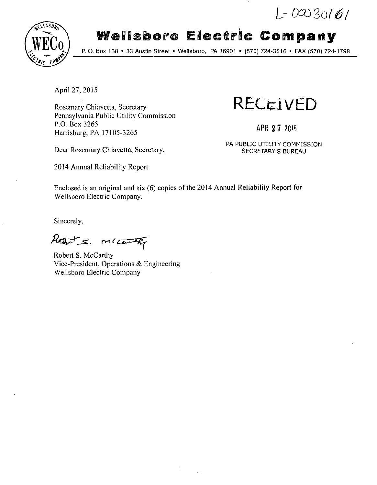$L - 00030161$ 



# **Wellsboro Electric Company**

P. O. Box 138 • 33 Austin Street • Wellsboro, PA 16901 • (570) 724-3516 • FAX (570) 724-1798

April 27, 2015

Rosemary Chiavetta, Secretary Pennsylvania Public Utility Commission P.O. Box 3265 Harrisburg, PA 17105-3265

Dear Rosemary Chiavetta, Secretary, SECRETARY'S BUREAU

2014 Annual Reliability Report

**RECi-iVED** 

APR 2 7 ?CtS

PA PUBLIC UTILITY COMMISSION

Enclosed is an original and six (6) copies of the 2014 Annual Reliability Report for Wellsboro Electric Company.

Sincerely,

harts. micenthy

Robert S. McCarthy Vice-President, Operations & Engineering Wellsboro Electric Company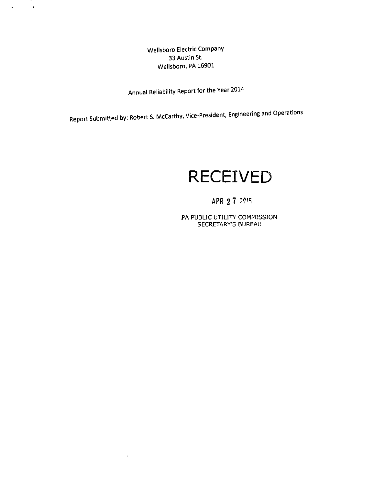Wellsboro Electric Company 33 Austin St. Wellsboro, PA 16901

.  $\sim$ 

 $\mathbf{u}$ 

 $\sim$ 

 $\mathcal{L}$ 

 $\bullet$ 

 $\hat{\mathcal{L}}$ 

Annual Reliability Report for the Year 2014

Report Submitted by: Robert S. McCarthy, Vice-President, Engineering and Operations

# **RECEIVED**

# APR 2.7. 2015

PA PUBLIC UTILITY COMMISSION SECRETARY'S BUREAU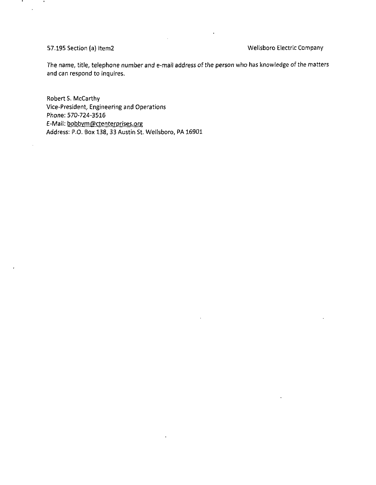.

### 57.195 Section (a) Itenn2 Wellsboro Electric Company

The name, title, telephone number and e-mail address of the person who has knowledge of the matters and can respond to inquires.

Robert S. McCarthy Vice-President, Engineering and Operations Phone: 570-724-3516 E-Mail: bobbym@ctenterprises.org Address: P.O. Box 138, 33 Austin St. Wellsboro, PA 16901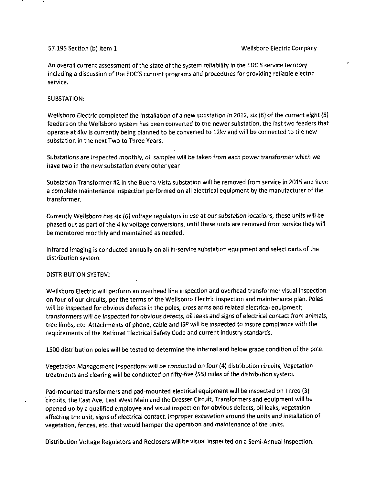An overall current assessment of the state of the system reliability in the EDC'S service territory including a discussion of the EDC'S current programs and procedures for providing reliable electric service.

### SUBSTATION:

Wellsboro Electric completed the installation of a new substation in 2012, six (6) of the current eight (8) feeders on the Wellsboro system has been converted to the newer substation, the fast two feeders that operate at 4kv is currently being planned to be converted to 12kv and will be connected to the new substation in the next Two to Three Years.

Substations are inspected monthly, oil samples will be taken from each power transformer which we have two in the new substation every other year

Substation Transformer #2 in the Buena Vista substation will be removed from service in 2015 and have a complete maintenance inspection performed on all electrical equipment by the manufacturer of the transformer.

Currently Wellsboro has six (6) voltage regulators in use at our substation locations, these units will be phased out as part of the 4 kv voltage conversions, until these units are removed from service they will be monitored monthly and maintained as needed.

Infrared imaging is conducted annually on all in-service substation equipment and select parts of the distribution system.

### DISTRIBUTION SYSTEM:

Wellsboro Electric will perform an overhead line inspection and overhead transformer visual inspection on four of our circuits, per the terms of the Wellsboro Electric inspection and maintenance plan. Poles will be inspected for obvious defects in the poles, cross arms and related electrical equipment; transformers will be inspected for obvious defects, oil leaks and signs of electrical contact from animals, tree limbs, etc. Attachments of phone, cable and ISP will be inspected to insure compliance with the requirements of the National Electrical Safety Code and current industry standards.

1500 distribution poles will be tested to determine the internal and below grade condition of the pole.

Vegetation Management Inspections will be conducted on four (4) distribution circuits, Vegetation treatments and clearing will be conducted on fifty-five (55) miles of the distribution system.

Pad-mounted transformers and pad-mounted electrical equipment will be inspected on Three (3} circuits, the East Ave, East West Main and the Dresser Circuit. Transformers and equipment will be opened up by a qualified employee and visual inspection for obvious defects, oil leaks, vegetation affecting the unit, signs of electrical contact, improper excavation around the units and installation of vegetation, fences, etc. that would hamper the operation and maintenance of the units.

Distribution Voltage Regulators and Reclosers will be visual inspected on a Semi-Annual inspection.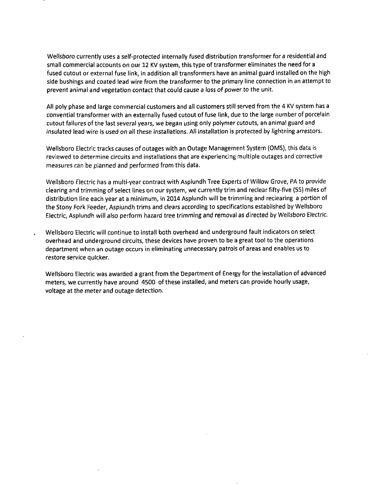Wellsboro currently uses a self-protected internally fused distribution transformer for a residential and small commercial accounts on our 12 KV system, this type of transformer eliminates the need for a fused cutout or external fuse link, in addition all transformers have an animal guard installed on the high side bushings and coated lead wire from the transformer to the primary line connection in an attempt to prevent animal and vegetation contact that could cause a loss of power to the unit.

All poly phase and large commercial customers and all customers still served from the 4 KV system has a convential transformer with an externally fused cutout of fuse link, due to the large number of porcelain cutout failures of the last several years, we began using only polymer cutouts, an animal guard and insulated lead wire is used on all these installations. All installation is protected by lightning arrestors.

Wellsboro Electric tracks causes of outages with an Outage Management System (OMS), this data is reviewed to determine circuits and installations that are experiencing multiple outages and corrective measures can be planned and performed from this data.

Wellsboro Electric has a multi-year contract with Asplundh Tree Experts of Willow Grove, PA to provide clearing and trimming of select lines on our system, we currently trim and reclear fifty-five (55) miles of distribution line each year at a minimum, in 2014 Asplundh will be trimming and reclearing a portion of the Stony Fork Feeder, Asplundh trims and clears according to specifications established by Wellsboro Electric, Asplundh will also perform hazard tree trimming and removal as directed by Wellsboro Electric.

Wellsboro Electric will continue to install both overhead and underground fault indicators on select overhead and underground circuits, these devices have proven to be a great tool to the operations department when an outage occurs in eliminating unnecessary patrols of areas and enables us to restore service quicker.

Wellsboro Electric was awarded a grant from the Department of Energy for the installation of advanced meters, we currently have around 4500 of these installed, and meters can provide hourly usage, voltage at the meter and outage detection.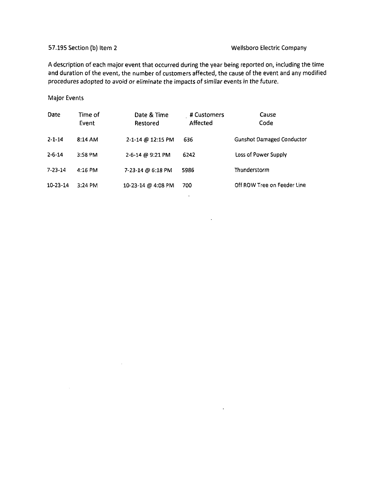### 57.195 Section (b) Item 2 Wellsboro Electric Company

A description of each major event that occurred during the year being reported on, including the time and duration of the event, the number of customers affected, the cause of the event and any modified procedures adopted to avoid or eliminate the impacts of similar events in the future.

### Major Events

| Date           | Time of<br>Event  | Date & Time<br>Restored | # Customers<br>Affected | Cause<br>Code                    |
|----------------|-------------------|-------------------------|-------------------------|----------------------------------|
| $2 - 1 - 14$   | $8:14 \text{ AM}$ | 2-1-14 @ 12:15 PM       | 636                     | <b>Gunshot Damaged Conductor</b> |
| $2 - 6 - 14$   | 3:58 PM           | 2-6-14 @ 9:21 PM        | 6242                    | Loss of Power Supply             |
| $7 - 23 - 14$  | $4:16$ PM         | 7-23-14 @ 6:18 PM       | 5986                    | Thunderstorm                     |
| $10 - 23 - 14$ | $3:24$ PM         | 10-23-14 @ 4.08 PM      | 700                     | Off ROW Tree on Feeder Line      |

 $\sim 10^{-11}$ 

 $\sim 10^7$ 

 $\Delta \sim 10^{-11}$ 

 $\mathcal{A}$ 

 $\sim 10^{11}$  km s  $^{-1}$  .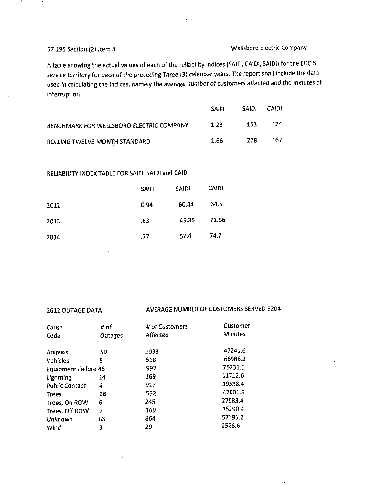## 57.195 Section (2) item 3 Wellsboro Electric Company

A table showing the actual values of each of the reliability indices (SAIFI, CAIDI, SAIDI) for the EDC'S service territory for each of the preceding Three (3) calendar years. The report shall include the data used in calculating the indices, namely the average number of customers affected and the minutes of interruption.

|                                          | <b>SAIFI</b> | <b>SAIDI</b> | <b>CAIDI</b> |
|------------------------------------------|--------------|--------------|--------------|
| BENCHMARK FOR WELLSBORO ELECTRIC COMPANY | 1.23         | -153         | 124          |
| ROLLING TWELVE MONTH STANDARD            | 1.66         | 278          | 167          |

### RELIABILITY INDEX TABLE FOR SAIFI, SAIDI and CAIDI

|      | <b>SAIFI</b> | <b>SAIDI</b> | CAIDI |
|------|--------------|--------------|-------|
| 2012 | 0.94         | 60.44        | 64.5  |
| 2013 | .63          | 45.35        | 71.56 |
| 2014 | .77          | 57.4         | 74.7  |

## 2012 OUTAGE DATA AVERAGE NUMBER OF CUSTOMERS SERVED 6204

| Cause                       | # of    | # of Customers | Customer       |
|-----------------------------|---------|----------------|----------------|
| Code                        | Outages | Affected       | <b>Minutes</b> |
| Animals                     | 59      | 1033           | 47241.6        |
| Vehicles                    | 5       | 618            | 66988.2        |
| <b>Equipment Failure 46</b> |         | 997            | 75231.6        |
| Lightning                   | 14      | 169            | 11712.6        |
| <b>Public Contact</b>       | 4       | 917            | 19538.4        |
| <b>Trees</b>                | 26      | 532            | 47001.6        |
| Trees, On ROW               | 6       | 245            | 27983.4        |
| Trees, Off ROW              | 7       | 169            | 15290.4        |
| Unknown                     | 65      | 864            | 57391.2        |
| Wind                        | 3       | 29             | 2526.6         |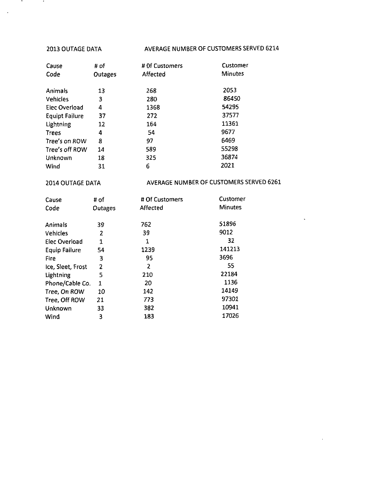**Service** 

 $\langle \cdot, \cdot \rangle$ 

 $\bullet$ 

### 2013 OUTAGE DATA AVERAGE NUMBER OF CUSTOMERS SERVED 6214

| Cause                 | # of    | # Of Customers | Customer       |
|-----------------------|---------|----------------|----------------|
| Code                  | Outages | Affected       | <b>Minutes</b> |
|                       |         |                |                |
| Animals               | 13      | 268            | 2053           |
| <b>Vehicles</b>       | 3       | 280            | 86450          |
| <b>Elec Overload</b>  | 4       | 1368           | 54295          |
| <b>Equipt Failure</b> | 37      | 272            | 37577          |
| Lightning             | 12      | 164            | 11361          |
| Trees                 | 4       | 54             | 9677           |
| Tree's on ROW         | 8       | 97             | 6469           |
| Tree's off ROW        | 14      | 589            | 55298          |
| Unknown               | 18      | 325            | 36874          |
| Wind                  | 31      | 6              | 2021           |

# 2014 OUTAGE DATA AVERAGE NUMBER OF CUSTOMERS SERVED 6261

 $\tilde{\phantom{a}}$ 

| Cause                | # of           | # Of Customers | Customer       |
|----------------------|----------------|----------------|----------------|
| Code                 | Outages        | Affected       | <b>Minutes</b> |
|                      |                |                |                |
| Animals              | 39             | 762            | 51896          |
| Vehicles             | 2              | 39             | 9012           |
| Elec Overload        | 1              | 1              | 32             |
| <b>Equip Failure</b> | 54             | 1239           | 141213         |
| <b>Fire</b>          | 3              | 95             | 3696           |
| Ice, Sleet, Frost    | $\overline{2}$ | 2              | 55             |
| Lightning            | 5              | 210            | 22184          |
| Phone/Cable Co.      | $\mathbf{1}$   | 20             | 1136           |
| Tree, On ROW         | 10             | 142            | 14149          |
| Tree, Off ROW        | 21             | 773            | 97301          |
| Unknown              | 33             | 382            | 10941          |
| Wind                 | 3              | 183            | 17026          |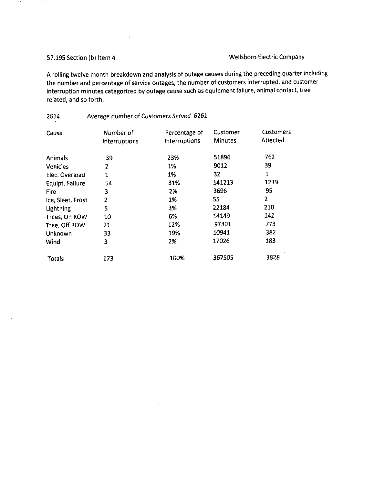### 57.195 Section (b) Item 4 Wellsboro Electric Company

A rolling twelve month breakdown and analysis of outage causes during the preceding quarter including the number and percentage of service outages, the number of customers interrupted, and customer interruption minutes categorized by outage cause such as equipment failure, animal contact, tree related, and so forth.

# 2014 Average number of Customers Served 6261 Cause Mumber of Percentage of Customer Customers<br>
Interruptions Interruptions Minutes Affected Interruptions Interruptions Animals 39 23% 51896 762 Vehicles 2 1% 9012 39 Elec. Overload 1 1 1% 32 1<br>
Equipt. Failure 54 31% 141213 1239 Equipt. Failure  $\begin{array}{cccc} 54 & 31\% & 141213 & 123 \\ -54 & 33 & 2\% & 3696 & 95 \end{array}$ Fire 3 2% 3696 95 Ice, Sleet, Frost 2 2<br>
Lightning 5 5 3% 22184 210 Lightning 5 3% 22184 210 Trees, On ROW 10 6% 14149 142<br>
Tree. Off ROW 21 12% 97301 773 Tree, Off ROW 21 12% 97301 773<br>
Unknown 33 19% 10941 382 Unknown 33 19% 10941 382 Wind 3 2% 17026 183 Totals 173 100% 367505 3828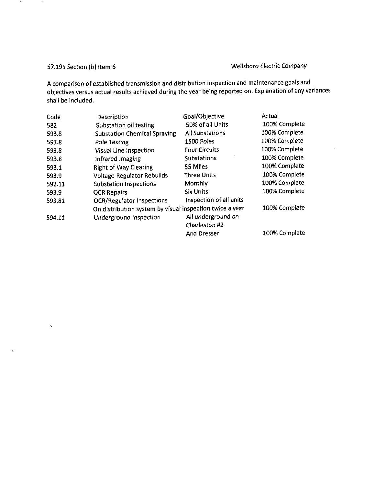$\bullet$ 

 $\,$  .

 $\mathcal{A}_\bullet$ 

 $\mathbf{v}$ 

# 57.195 Section (b) item 6 Wellsboro Electric Company

A comparison of established transmission and distribution inspection and maintenance goals and objectives versus actual results achieved during the year being reported on. Explanation of any variances shall be included.

| Code   | Description                                              | Goal/Objective          | Actual        |
|--------|----------------------------------------------------------|-------------------------|---------------|
| 582    | Substation oil testing                                   | 50% of all Units        | 100% Complete |
| 593.8  | <b>Substation Chemical Spraying</b>                      | <b>All Substations</b>  | 100% Complete |
| 593.8  | Pole Testing                                             | 1500 Poles              | 100% Complete |
| 593.8  | <b>Visual Line Inspection</b>                            | <b>Four Circuits</b>    | 100% Complete |
| 593.8  | Infrared Imaging                                         | <b>Substations</b>      | 100% Complete |
| 593.1  | <b>Right of Way Clearing</b>                             | 55 Miles                | 100% Complete |
| 593.9  | <b>Voltage Regulator Rebuilds</b>                        | <b>Three Units</b>      | 100% Complete |
| 592.11 | <b>Substation Inspections</b>                            | Monthly                 | 100% Complete |
| 593.9  | <b>OCR Repairs</b>                                       | <b>Six Units</b>        | 100% Complete |
| 593.81 | <b>OCR/Regulator Inspections</b>                         | Inspection of all units |               |
|        | On distribution system by visual inspection twice a year |                         | 100% Complete |
| 594.11 | Underground Inspection                                   | All underground on      |               |
|        |                                                          | Charleston #2           |               |
|        |                                                          | <b>And Dresser</b>      | 100% Complete |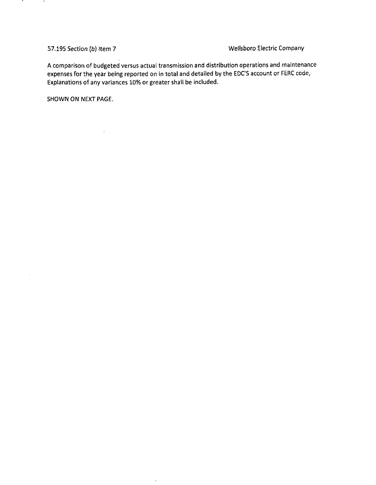.

 $\bar{z}$ 

57.195 Section (b) item 7 Wellsboro Electric Company

A comparison of budgeted versus actual transmission and distribution operations and maintenance expenses for the year being reported on in total and detailed by the EDC'S account or FERC code, Explanations of any variances 10% or greater shall be included.

 $\bar{z}$ 

SHOWN ON NEXT PAGE.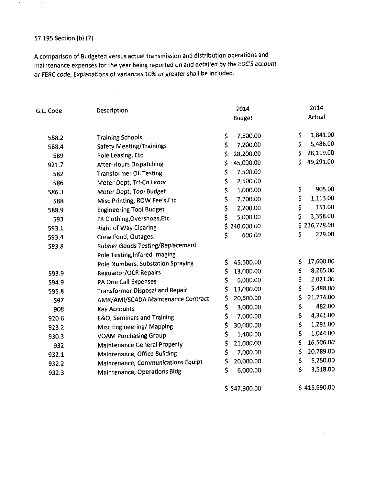### 57.195 Section (b) (7)

 $\bullet$ 

 $\sim$ 

A comparison of Budgeted versus actual transmission and distribution operations and maintenance expenses for the year being reported on and detailed by the EDC'S account or FERC code, Explanations of variances 1096 or greater shall be included.

l.

| G.L. Code | Description                             | 2014             | 2014             |
|-----------|-----------------------------------------|------------------|------------------|
|           |                                         | <b>Budget</b>    | Actual           |
| 588.2     | <b>Training Schools</b>                 | \$<br>7,500.00   | \$<br>1,841.00   |
| 588.4     | <b>Safety Meeting/Trainings</b>         | \$<br>7,200.00   | \$<br>5,486.00   |
| 589       | Pole Leasing, Etc.                      | \$<br>28,200.00  | \$<br>28,119.00  |
| 921.7     | <b>After-Hours Dispatching</b>          | \$<br>45,000.00  | \$<br>49,291.00  |
| 582       | <b>Transformer Oil Testing</b>          | \$<br>7,500.00   |                  |
| 586       | Meter Dept, Tri-Co Labor                | \$<br>2,500.00   |                  |
| 586.3     | Meter Dept, Tool Budget                 | \$<br>1,000.00   | 905.00<br>\$     |
| 588       | Misc Printing, ROW Fee's, Etc           | \$<br>7,700.00   | \$<br>1,113.00   |
| 588.9     | <b>Engineering Tool Budget</b>          | \$<br>2,200.00   | \$<br>151.00     |
| 593       | FR Clothing, Overshoes, Etc.            | \$<br>5,000.00   | \$<br>3,358.00   |
| 593.1     | <b>Right of Way Clearing</b>            | \$<br>240,000.00 | \$<br>216,778.00 |
| 593.4     | Crew Food, Outages.                     | \$<br>600.00     | \$<br>279.00     |
| 593.8     | <b>Rubber Goods Testing/Replacement</b> |                  |                  |
|           | Pole Testing, Infared Imaging           |                  |                  |
|           | Pole Numbers, Substation Spraying       | 45,500.00<br>\$  | 17,600.00<br>\$  |
| 593.9     | <b>Regulator/OCR Repairs</b>            | \$<br>13,000.00  | 8,265.00<br>\$   |
| 594.9     | PA One Call Expenses                    | \$<br>6,000.00   | \$<br>2,021.00   |
| 595.8     | <b>Transformer Disposal and Repair</b>  | \$<br>13,000.00  | \$<br>5,488.00   |
| 597       | AMR/AMI/SCADA Maintenance Contract      | 20,600.00<br>\$  | \$<br>21,774.00  |
| 908       | <b>Key Accounts</b>                     | \$<br>3,000.00   | \$<br>482.00     |
| 920.6     | <b>E&amp;O, Seminars and Training</b>   | \$<br>7,000.00   | \$<br>4,341.00   |
| 923.2     | Misc Engineering/ Mapping               | \$<br>30,000.00  | \$<br>1,291.00   |
| 930.3     | <b>VOAM Purchasing Group</b>            | \$<br>1,400.00   | \$<br>1,044.00   |
| 932       | <b>Maintenance General Property</b>     | \$<br>21,000.00  | \$<br>16,506.00  |
| 932.1     | Maintenance, Office Building            | \$<br>7,000.00   | \$<br>20,789.00  |
| 932.2     | Maintenance, Communications Equipt      | \$<br>20,000.00  | \$<br>5,250.00   |
| 932.3     | Maintenance, Operations Bldg            | \$<br>6,000.00   | \$<br>3,518.00   |
|           |                                         | \$547,900.00     | \$415,690.00     |

 $\ddot{\phantom{a}}$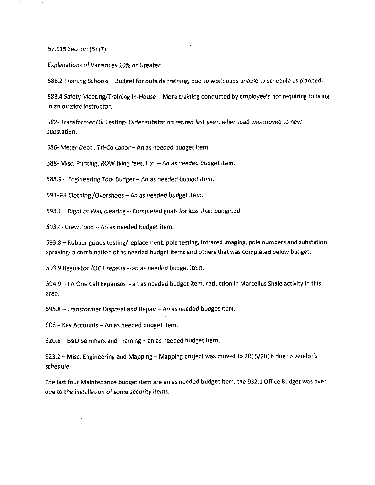57.915 Section (B) (7)

Explanations of Variances 10% or Greater.

588.2 Training Schools - Budget for outside training, due to workloads unable to schedule as planned.

588.4 Safety Meeting/Training In-House -- More training conducted by employee's not requiring to bring in an outside instructor.

582- Transformer Oil Testing- Older substation retired last year, when load was moved to new substation.

586- Meter Dept., Tri-Co Labor - An as needed budget item.

588- Misc. Printing, ROW filing fees, Etc. - An as needed budget item.

588.9 - Engineering Tool Budget-An as needed budget item.

593- FR Clothing /Overshoes - An as needed budget item.

593.1 - Right of Way clearing - Completed goals for less than budgeted.

593.4- Crew Food - An as needed budget item.

593.8 - Rubber goods testing/replacement, pole testing, infrared imaging, pole numbers and substation spraying- a combination of as needed budget items and others that was completed below budget.

593.9 Regulator / OCR repairs - an as needed budget item.

594.9 - PA One Call Expenses - an as needed budget item, reduction in Marcellus Shale activity in this area.

595.8 - Transformer Disposal and Repair - An as needed budget item.

 $908 -$  Key Accounts - An as needed budget item.

 $920.6 - E & O$  Seminars and Training  $-$  an as needed budget item.

923.2 - Misc. Engineering and Mapping - Mapping project was moved to 2015/2016 due to vendor's schedule.

The last four Maintenance budget item are an as needed budget item, the 932.1 Office Budget was over due to the installation of some security items.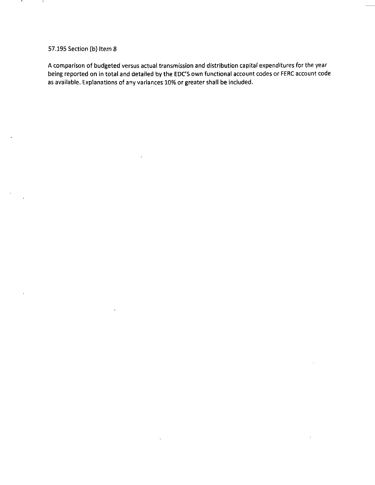### 57.195 Section (b) Item 8

A comparison of budgeted versus actual transmission and distribution capital expenditures for the year being reported on in total and detailed by the EDC'S own functional account codes or FERC account code as available. Explanations of any variances 10% or greater shall be included.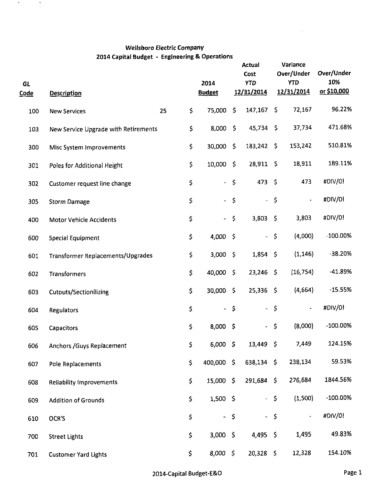# **Wellsboro Electric Company 2014 Capital Budget - Engineering & Operations**

 $\mathcal{A}(\mathcal{A})$  and  $\mathcal{A}(\mathcal{A})$ 

| GL<br><b>Code</b> | <b>Description</b>                   |          | 2014<br><b>Budget</b> |                    | <b>Actual</b><br>Cost<br><b>YTD</b><br>12/31/2014 |             | Variance<br>Over/Under<br><b>YTD</b><br>12/31/2014 | Over/Under<br>10%<br>or \$10,000 |
|-------------------|--------------------------------------|----------|-----------------------|--------------------|---------------------------------------------------|-------------|----------------------------------------------------|----------------------------------|
| 100               | <b>New Services</b>                  | \$<br>25 | 75,000                | \$                 | 147,167                                           | -Ś.         | 72,167                                             | 96.22%                           |
| 103               | New Service Upgrade with Retirements | \$       | 8,000                 | $\overline{S}$     | $45,734$ \$                                       |             | 37,734                                             | 471.68%                          |
| 300               | <b>Misc System Improvements</b>      | \$       | 30,000                | -\$                | 183,242                                           | -\$         | 153,242                                            | 510.81%                          |
| 301               | Poles for Additional Height          | \$       | 10,000                | - 5                | 28,911 \$                                         |             | 18,911                                             | 189.11%                          |
| 302               | Customer request line change         | \$       | $\omega_{\rm c}$      | $\varsigma$        | 473                                               | - \$        | 473                                                | #DIV/0!                          |
| 305               | <b>Storm Damage</b>                  | \$       | $\omega_{\rm c}$      | $\varsigma$        | $\blacksquare$                                    | $\zeta$     |                                                    | #DIV/01                          |
| 400               | <b>Motor Vehicle Accidents</b>       | \$       | $\blacksquare$        | \$                 | 3,803                                             | - \$        | 3,803                                              | #DIV/0!                          |
| 600               | <b>Special Equipment</b>             | \$       | 4,000                 | - \$               | $\blacksquare$                                    | $\zeta$     | (4,000)                                            | $-100.00%$                       |
| 601               | Transformer Replacements/Upgrades    | \$       | 3,000                 | $\sqrt{5}$         | $1,854$ \$                                        |             | (1, 146)                                           | $-38.20%$                        |
| 602               | <b>Transformers</b>                  | \$       | 40,000                | $\ddot{\varsigma}$ | 23,246                                            | - \$        | (16, 754)                                          | $-41.89%$                        |
| 603               | <b>Cutouts/Sectionilizing</b>        | \$       | 30,000 \$             |                    | $25,336$ \$                                       |             | (4,664)                                            | $-15.55%$                        |
| 604               | Regulators                           | \$       |                       | $-5$               | ÷,                                                | $\zeta$     |                                                    | #DIV/0!                          |
| 605               | <b>Capacitors</b>                    | \$       | 8,000                 | -\$                | $\overline{\phantom{0}}$                          | \$          | (8,000)                                            | $-100.00%$                       |
| 606               | Anchors / Guys Replacement           | \$       | 6,000 \$              |                    | $13,449$ \$                                       |             | 7,449                                              | 124.15%                          |
| 607               | Pole Replacements                    | \$       | 400,000 \$            |                    | 638,134 \$                                        |             | 238,134                                            | 59.53%                           |
| 608               | Reliability Improvements             | \$       | 15,000 \$             |                    | 291,684 \$                                        |             | 276,684                                            | 1844.56%                         |
| 609               | <b>Addition of Grounds</b>           | \$       | $1,500$ \$            |                    |                                                   | $-5$        | (1,500)                                            | $-100.00%$                       |
| 610               | OCR'S                                | \$       |                       | $-5$               | ÷.                                                | $\varsigma$ | $\overline{\phantom{0}}$                           | #DIV/0!                          |
| 700               | <b>Street Lights</b>                 | \$       | $3,000$ \$            |                    | $4,495$ \$                                        |             | 1,495                                              | 49.83%                           |
| 701               | <b>Customer Yard Lights</b>          | \$       | $8,000 \le$           |                    | $20,328$ \$                                       |             | 12,328                                             | 154.10%                          |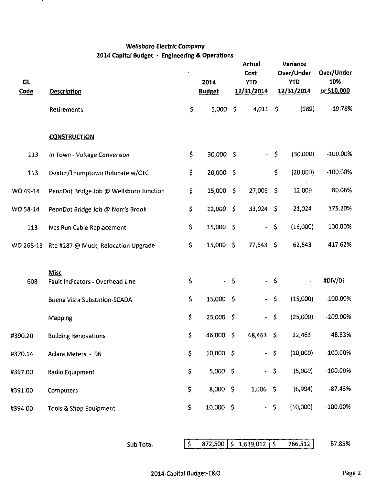# **Wellsboro Electric Company 2014 Capital Budget - Engineering & Operations**

<u>т</u>

 $\cdot$ 

 $\bar{z}$ 

| GL<br>Code | <b>Description</b>                                                                     |                   | 2014<br><b>Budget</b> |             | <b>Actual</b><br>Cost<br><b>YTD</b><br><u>12/31/2014</u> |                      | Variance<br>Over/Under<br><b>YTD</b><br>12/31/2014 | Over/Under<br>10%<br>or \$10,000 |
|------------|----------------------------------------------------------------------------------------|-------------------|-----------------------|-------------|----------------------------------------------------------|----------------------|----------------------------------------------------|----------------------------------|
|            | Retirements                                                                            | $\mathsf{S}$      | 5,000                 | $\varsigma$ | $4,011$ \$                                               |                      | (989)                                              | $-19.78%$                        |
|            | <b>CONSTRUCTION</b>                                                                    |                   |                       |             |                                                          |                      |                                                    |                                  |
| 113        | In Town - Voltage Conversion                                                           | \$                | 30,000 \$             |             | $\tilde{\phantom{a}}$                                    | -\$                  | (30,000)                                           | -100.00%                         |
| 113        | Dexter/Thumptown Relocate w/CTC                                                        | \$                | 20,000 \$             |             | $\blacksquare$                                           | $\ddot{\bm{\zeta}}$  | (20,000)                                           | -100.00%                         |
| WO 49-14   | PennDot Bridge Job @ Wellsboro Junction                                                | \$                | 15,000 \$             |             | 27,009                                                   | - \$                 | 12,009                                             | 80.06%                           |
| WO 58-14   | PennDot Bridge Job @ Norris Brook                                                      | $\mathsf S$       | 12,000 \$             |             | $33,024$ \$                                              |                      | 21,024                                             | 175.20%                          |
| 113        | Ives Run Cable Replacement                                                             | \$                | 15,000 \$             |             | $\omega$                                                 | $\mathsf{S}$         | (15,000)                                           | -100.00%                         |
|            | WO 265-13 Rte #287 @ Muck, Relocation Upgrade                                          | \$                | 15,000 \$             |             | 77,643                                                   | - \$                 | 62,643                                             | 417.62%                          |
| 608        | <b>Misc</b><br>Fault Indicators - Overhead Line<br><b>Buena Vista Substation-SCADA</b> | \$<br>\$.         | $-$ \$<br>15,000 \$   |             | $\blacksquare$                                           | $-5$<br>$\mathsf{S}$ | $\overline{\phantom{a}}$<br>(15,000)               | #DIV/01<br>$-100.00\%$           |
|            | Mapping                                                                                | \$                | 25,000 \$             |             | a.                                                       | $\varsigma$          | (25,000)                                           | $-100.00\%$                      |
| #390.20    | <b>Building Renovations</b>                                                            | \$                | 46,000                | -\$         | 68,463                                                   | -\$                  | 22,463                                             | 48.83%                           |
| #370.14    | Aclara Meters - 96                                                                     | \$                | 10,000 \$             |             | $-5$                                                     |                      | (10,000)                                           | $-100.00%$                       |
| #397.00    | Radio Equipment                                                                        | \$                | 5,000 \$              |             | $- S$                                                    |                      | (5,000)                                            | $-100.00\%$                      |
| #391.00    | Computers                                                                              | \$                | 8,000 \$              |             | $1,006$ \$                                               |                      | (6,994)                                            | $-87.43%$                        |
| #394.00    | Tools & Shop Equipment                                                                 | \$                | 10,000 \$             |             | $-5$                                                     |                      | (10,000)                                           | $-100.00%$                       |
|            | Sub Total                                                                              | $\lceil 5 \rceil$ | 872,500               |             | $\frac{1}{5}$ 1,639,012 $\frac{1}{5}$                    |                      | 766,512                                            | 87.85%                           |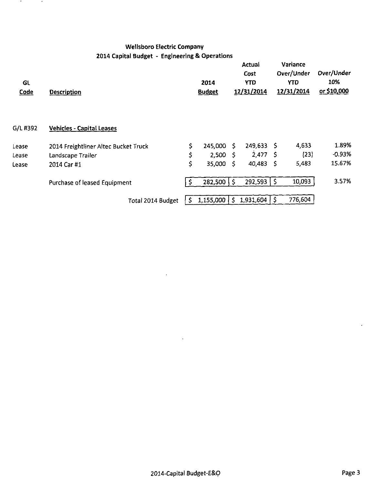# **Wellsboro Electric Company 2014 Capital Budget - Engineering & Operations**

**A** 

 $\blacksquare$ 

| GL<br><b>Code</b> | <b>Description</b>                   |     | 2014<br><b>Budget</b> |              | Actual<br>Cost<br><b>YTD</b><br>12/31/2014 |      | Variance<br>Over/Under<br>YTD<br>12/31/2014 | Over/Under<br>10%<br>or \$10,000 |
|-------------------|--------------------------------------|-----|-----------------------|--------------|--------------------------------------------|------|---------------------------------------------|----------------------------------|
| G/L #392          | <b>Vehicles - Capital Leases</b>     |     |                       |              |                                            |      |                                             |                                  |
| Lease             | 2014 Freightliner Altec Bucket Truck | \$. | 245,000               | S.           | $249,633$ \$                               |      | 4,633                                       | 1.89%                            |
| Lease             | Landscape Trailer                    | \$  | 2,500                 | - 5          | 2,477                                      | - S  | (23)                                        | $-0.93%$                         |
| Lease             | 2014 Car #1                          | \$  | 35,000                | - 5          | 40,483                                     | - \$ | 5,483                                       | 15.67%                           |
|                   | Purchase of leased Equipment         | -S  | 282,500               | $\mathsf{S}$ | $292,593$ $\frac{1}{5}$                    |      | 10,093                                      | 3.57%                            |
|                   | Total 2014 Budget                    | -S  |                       |              | $1,155,000$   \$ 1,931,604                 | (5)  | 776,604                                     |                                  |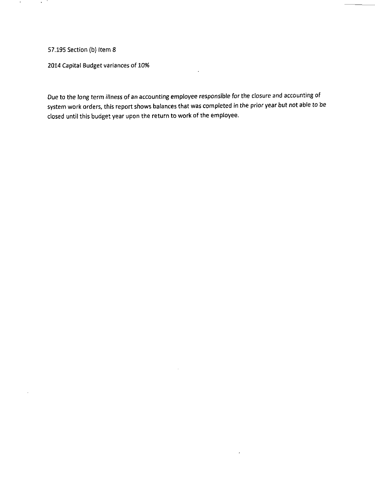57.195 Section (b) Item 8

2014 Capital Budget variances of 10%

Due to the long term illness of an accounting employee responsible for the closure and accounting of system work orders, this report shows balances that was completed in the prior year but not able to be closed until this budget year upon the return to work of the employee.

 $\lambda$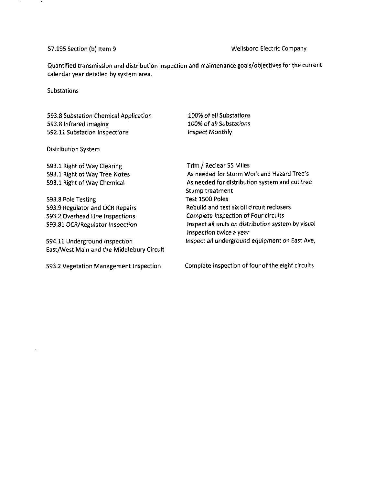### 57.195 Section (b) Item 9 Wellsboro Electric Company

Quantified transmission and distribution inspection and maintenance goals/objectives for the current calendar year detailed by system area.

**Substations** 

593.8 Substation Chemical Application 593.8 Infrared Imaging 592.11 Substation Inspections

100% of all Substations 100% of all Substations Inspect Monthly

### Distribution System

593.1 Right of Way Clearing 593.1 Right of Way Tree Notes 593.1 Right of Way Chemical

593.8 Pole Testing 593.9 Regulator and OCR Repairs 593.2 Overhead Line Inspections 593.81 OCR/Regulator Inspection

594.11 Underground Inspection East/West Main and the Middlebury Circuit

Trim / Reclear 55 Miles As needed for Storm Work and Hazard Tree's As needed for distribution system and cut tree Stump treatment Test 1500 Poles Rebuild and test six oil circuit reclosers Complete Inspection of Four circuits Inspect all units on distribution system by visual Inspection twice a year Inspect all underground equipment on East Ave,

593.2 Vegetation Management Inspection Complete inspection of four of the eight circuits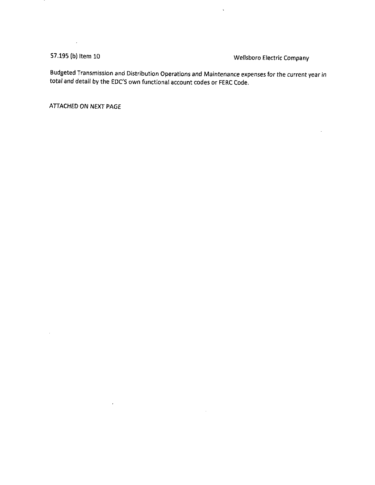$\mathcal{L}^{\text{max}}_{\text{max}}$  ,  $\mathcal{L}^{\text{max}}_{\text{max}}$ 

 $\bar{z}$ 

 $\hat{\mathbf{r}}$ 

57.195 (b) Item 10 Wellsboro Electric Company

Budgeted Transmission and Distribution Operations and Maintenance expenses for the current year in total and detail by the EDC'S own functional account codes or FERC Code.

 $\sim$ 

 $\hat{\mathbf{v}}$ 

ATTACHED ON NEXT PAGE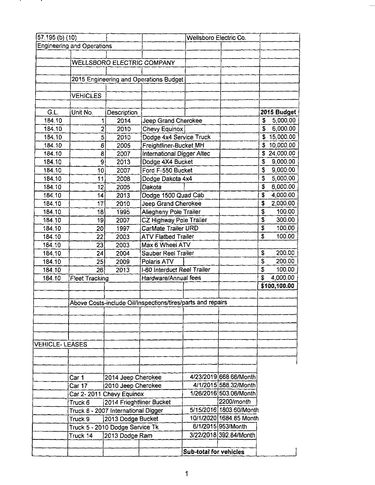| 57 195 (b) (10)       |                                   |                                     |                                                             | Wellsboro Electric Co. |                         |          |              |
|-----------------------|-----------------------------------|-------------------------------------|-------------------------------------------------------------|------------------------|-------------------------|----------|--------------|
|                       | <b>Engineering and Operations</b> |                                     |                                                             |                        |                         |          |              |
|                       |                                   |                                     |                                                             |                        |                         |          |              |
|                       |                                   |                                     | <b>WELLSBORO ELECTRIC COMPANY</b>                           |                        |                         |          |              |
|                       |                                   |                                     |                                                             |                        |                         |          |              |
|                       |                                   |                                     | 2015 Engineering and Operations Budget                      |                        |                         |          |              |
|                       |                                   |                                     |                                                             |                        |                         |          |              |
|                       | <b>VEHICLES</b>                   |                                     |                                                             |                        |                         |          |              |
|                       |                                   |                                     |                                                             |                        |                         |          |              |
| G.L.                  | Unit No.                          | Description                         |                                                             |                        |                         |          | 2015 Budget  |
| 184.10                | 1                                 | 2014                                | Jeep Grand Cherokee                                         |                        |                         | \$       | 5,000.00     |
| 184.10                | 2                                 | 2010                                | <b>Chevy Equinox</b>                                        |                        |                         | <b>S</b> | 6,000.00     |
| 184.10                | 5                                 | 2010                                | Dodge 4x4 Service Truck                                     |                        |                         | \$       | 15,000.00    |
| 184.10                | 6                                 | 2005                                | Freightliner-Bucket MH                                      |                        |                         | \$       | 10,000.00    |
| 184.10                | 8                                 | 2007                                | International Digger Altec                                  |                        |                         | S        | 24,000.00    |
| 184.10                | 9                                 | 2013                                | Dodge 4X4 Bucket                                            |                        |                         | \$       | 9,000.00     |
| 184.10                | 10                                | 2007                                | Ford F-550 Bucket                                           |                        |                         | \$       | 9,000.00     |
| 184.10                | 11                                | 2008                                | Dodge Dakota 4x4                                            |                        |                         | \$       | 5,000.00     |
| 184.10                | 12                                | 2005                                | Dakota                                                      |                        |                         | \$       | 6,000.00     |
| 184.10                | 14                                | 2013                                | Dodge 1500 Quad Cab                                         |                        |                         | \$       | 4,000.00     |
| 184.10                | 17                                | 2010                                | Jeep Grand Cherokee                                         |                        |                         | \$       | 2,000.00     |
| 184.10                | 18                                | 1995                                | Allegheny Pole Trailer                                      |                        |                         | \$       | 100.00       |
| 184.10                | 19                                | 2007                                | CZ Highway Pole Trailer                                     |                        |                         | \$       | 300.00       |
| 184.10                | 20                                | 1997                                | CarMate Trailer URD                                         |                        |                         | \$       | 100.00       |
| 184.10                | 22                                | 2003                                | <b>ATV Flatbed Trailer</b>                                  |                        |                         | \$       | 100.00       |
| 184.10                | 23                                | 2003                                | Max 6 Wheel ATV                                             |                        |                         |          |              |
| 184.10                | 24                                | 2004                                | Sauber Reel Trailer                                         |                        |                         | \$       | 200.00       |
| 184.10                | 25                                | 2009                                | Polaris ATV                                                 |                        |                         | \$       | 200.00       |
| 184.10                | 26                                | 2013                                | I-60 Interduct Reel Trailer                                 |                        |                         | \$       | 100.00       |
| 184.10                | <b>Fleet Tracking</b>             |                                     | Hardware/Annual fees                                        |                        |                         | \$       | 4,000.00     |
|                       |                                   |                                     |                                                             |                        |                         |          | \$100,100.00 |
|                       |                                   |                                     |                                                             |                        |                         |          |              |
|                       |                                   |                                     | Above Costs-include Oil/Inspections/tires/parts and repairs |                        |                         |          |              |
|                       |                                   |                                     |                                                             |                        |                         |          |              |
|                       |                                   |                                     |                                                             |                        |                         |          |              |
|                       |                                   |                                     |                                                             |                        |                         |          |              |
|                       |                                   |                                     |                                                             |                        |                         |          |              |
| <b>VEHICLE-LEASES</b> |                                   |                                     |                                                             |                        |                         |          |              |
|                       |                                   |                                     |                                                             |                        |                         |          |              |
|                       |                                   |                                     |                                                             |                        |                         |          |              |
|                       |                                   |                                     |                                                             |                        |                         |          |              |
|                       | Car 1                             | 2014 Jeep Cherokee                  |                                                             |                        | 4/23/2019 668.66/Month  |          |              |
|                       | Car 17                            | 2010 Jeep Cherokee                  |                                                             |                        | 4/1/2015 588.32/Month   |          |              |
|                       |                                   | Car 2-2011 Chevy Equinox            |                                                             |                        | 1/26/2016 503.06/Month  |          |              |
|                       | Truck 6                           | 2014 Frieghtliner Bucket            |                                                             |                        | 2200/month              |          |              |
|                       |                                   | Truck 8 - 2007 International Digger |                                                             |                        | 5/15/2016 1803.60/Month |          |              |
|                       | Truck 9                           | 2013 Dodge Bucket                   |                                                             |                        | 10/1/2020 1684.85 Month |          |              |
|                       |                                   | Truck 5 - 2010 Dodge Service Tk     |                                                             |                        | 6/1/2015 953/Month      |          |              |
|                       | Truck 14                          | 2013 Dodge Ram                      |                                                             |                        | 3/22/2018 392.84/Month  |          |              |
|                       |                                   |                                     |                                                             |                        |                         |          |              |
|                       |                                   |                                     |                                                             | Sub-total for vehicles |                         |          |              |

л.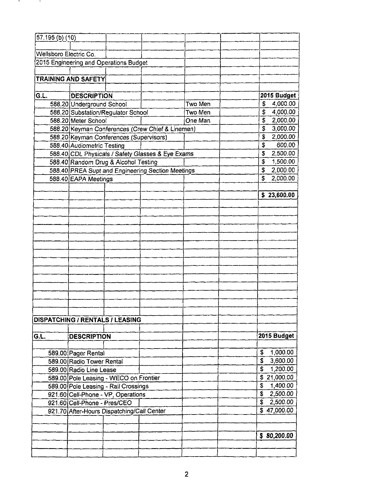| 57.195 (b) (10)        |                                                                    |                                                   |         |                         |                       |
|------------------------|--------------------------------------------------------------------|---------------------------------------------------|---------|-------------------------|-----------------------|
|                        |                                                                    |                                                   |         |                         |                       |
| Wellsboro Electric Co. |                                                                    |                                                   |         |                         |                       |
|                        | 2015 Engineering and Operations Budget                             |                                                   |         |                         |                       |
|                        |                                                                    |                                                   |         |                         |                       |
|                        | <b>TRAINING AND SAFETY</b>                                         |                                                   |         |                         |                       |
|                        |                                                                    |                                                   |         |                         |                       |
| G.L.                   | DESCRIPTION                                                        |                                                   |         |                         | 2015 Budget           |
|                        | 588.20 Underground School                                          |                                                   | Two Men | \$                      | 4,000.00              |
|                        | 588.20 Substation/Regulator School                                 |                                                   | Two Men | S.                      | 4,000.00              |
|                        | 588.20 Meter School                                                |                                                   | One Man | S.                      | 2,000.00              |
|                        |                                                                    | 588.20 Keyman Conferences (Crew Chief & Linemen)  |         | $\overline{\mathbf{S}}$ | 3,000.00              |
|                        | 588.20 Keyman Conferences (Supervisors)                            |                                                   |         | \$                      | 2,000.00              |
|                        | 588.40 Audiometric Testing                                         |                                                   |         | S                       | 600.00                |
|                        |                                                                    | 588.40 CDL Physicals / Safety Glasses & Eye Exams |         | \$                      | 2,500.00              |
|                        | 588.40 Random Drug & Alcohol Testing                               |                                                   |         | $\overline{\mathbf{s}}$ | 1,500.00              |
|                        |                                                                    | 588.40 PREA Supt and Engineering Section Meetings |         | $\mathbb{S}$            | 2,000.00              |
|                        | 588.40 EAPA Meetings                                               |                                                   |         | £                       | 2,000.00              |
|                        |                                                                    |                                                   |         |                         |                       |
|                        |                                                                    |                                                   |         |                         | \$23,600.00           |
|                        |                                                                    |                                                   |         |                         |                       |
|                        |                                                                    |                                                   |         |                         |                       |
|                        |                                                                    |                                                   |         |                         |                       |
|                        |                                                                    |                                                   |         |                         |                       |
|                        |                                                                    |                                                   |         |                         |                       |
|                        |                                                                    |                                                   |         |                         |                       |
|                        |                                                                    |                                                   |         |                         |                       |
|                        |                                                                    |                                                   |         |                         |                       |
|                        |                                                                    |                                                   |         |                         |                       |
|                        |                                                                    |                                                   |         |                         |                       |
|                        |                                                                    |                                                   |         |                         |                       |
|                        |                                                                    |                                                   |         |                         |                       |
|                        |                                                                    |                                                   |         |                         |                       |
|                        |                                                                    |                                                   |         |                         |                       |
|                        | DISPATCHING / RENTALS / LEASING                                    |                                                   |         |                         |                       |
|                        |                                                                    |                                                   |         |                         |                       |
| G.L.                   | <b>DESCRIPTION</b>                                                 |                                                   |         |                         | 2015 Budget           |
|                        |                                                                    |                                                   |         |                         |                       |
|                        |                                                                    |                                                   |         | \$                      | 1,000.00              |
|                        | 589.00 Pager Rental<br>589,00 Radio Tower Rental                   |                                                   |         | \$                      | 3,600.00              |
|                        | 589.00 Radio Line Lease                                            |                                                   |         | \$                      | 1,200.00              |
|                        |                                                                    |                                                   |         |                         | \$21,000.00           |
|                        | 589.00 Pole Leasing - WECO on Frontier                             |                                                   |         | \$                      | 1,400.00              |
|                        | 589.00 Pole Leasing - Rail Crossings                               |                                                   |         |                         | \$2,500.00            |
|                        | 921.60 Cell-Phone - VP, Operations<br>921.60 Cell-Phone - Pres/CEO |                                                   |         |                         | $\overline{2,500.00}$ |
|                        |                                                                    |                                                   |         |                         | \$47,000.00           |
|                        | 921.70 After-Hours Dispatching/Call Center                         |                                                   |         |                         |                       |
|                        |                                                                    |                                                   |         |                         |                       |
|                        |                                                                    |                                                   |         |                         | \$80,200.00           |
|                        |                                                                    |                                                   |         |                         |                       |
|                        |                                                                    |                                                   |         |                         |                       |
|                        |                                                                    |                                                   |         |                         |                       |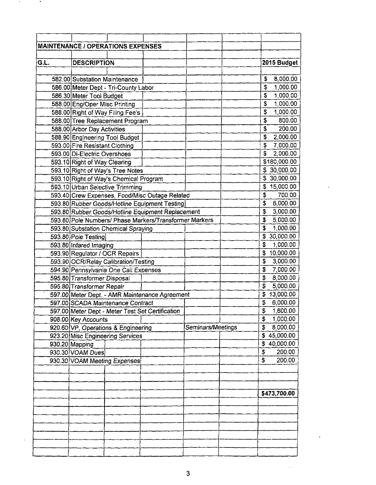|      | <b>MAINTENANCE / OPERATIONS EXPENSES</b>               |                   |                 |
|------|--------------------------------------------------------|-------------------|-----------------|
|      |                                                        |                   |                 |
| G.L. | <b>DESCRIPTION</b>                                     |                   | 2015 Budget     |
|      |                                                        |                   |                 |
|      | 582.00 Substation Maintenance                          |                   | 8,000.00<br>\$  |
|      | 586.00 Meter Dept - Tri-County Labor                   |                   | 1,000.00<br>\$  |
|      | 586.30 Meter Tool Budget                               |                   | \$<br>1,000.00  |
|      | 588.00 Eng/Oper Misc Printing                          |                   | \$<br>1,000.00  |
|      | 588.00 Right of Way Filing Fee's                       |                   | 1,000.00<br>\$  |
|      | 588.00 Tree Replacement Program                        |                   | \$<br>800.00    |
|      | 588.00 Arbor Day Activities                            |                   | \$<br>200.00    |
|      | 588.90 Engineering Tool Budget                         |                   | 2,000.00<br>\$  |
|      | 593.00 Fire Resistant Clothing                         |                   | 7,000.00<br>\$  |
|      | 593.00 Di-Electric Overshoes                           |                   | 2,000.00<br>\$  |
|      | 593.10 Right of Way Clearing                           |                   | \$180,000.00    |
|      | 593.10 Right of Way's Tree Notes                       |                   | \$ 30,000.00    |
|      | 593.10 Right of Way's Chemical Program                 |                   | \$30,000.00     |
|      | 593.10 Urban Selective Trimming                        |                   | \$15,000.00     |
|      | 593.40 Crew Expenses, Food/Misc Outage Related         |                   | 700.00<br>\$    |
|      | 593.80 Rubber Goods/Hotline Equipment Testing          |                   | 6,000.00<br>\$  |
|      | 593.80 Rubber Goods/Hotline Equipment Replacement      |                   | \$<br>3,000.00  |
|      | 593.80 Pole Numbers/ Phase Markers/Transformer Markers |                   | 5,000.00<br>S   |
|      | 593.80 Substation Chemical Spraying                    |                   | 1,000.00<br>S   |
|      | 593.80 Pole Testing                                    |                   | 30,000.00<br>\$ |
|      | 593.80 Infared Imaging                                 |                   | 1,000.00<br>\$  |
|      | 593.90 Regulator / OCR Repairs                         |                   | \$10,000.00     |
|      | 593.90 OCR/Relay Calibration/Testing                   |                   | 3,000.00<br>\$  |
|      | 594.90 Pennsylvania One Call Expenses                  |                   | 7,000.00<br>\$  |
|      | 595.80 Transformer Disposal                            |                   | \$<br>8,000.00  |
|      | 595.80 Transformer Repair                              |                   | 5,000.00<br>\$  |
|      | 597.00 Meter Dept. - AMR Maintenance Agreement         |                   | \$13,000.00     |
|      | 597.00 SCADA Maintenance Contract                      |                   | 6,000.00<br>\$  |
|      | 597.00 Meter Dept - Meter Test Set Certification       |                   | \$ 1,600.00     |
|      | 908.00 Key Accounts                                    |                   | \$<br>1,000.00  |
|      | 920.60 VP, Operations & Engineering                    | Seminars/Meetings | \$<br>8,000.00  |
|      | 923.20 Misc Engineering Services                       |                   | 45,000.00<br>S. |
|      | 930.20 Mapping                                         |                   | \$40,000.00     |
|      | 930.30 VOAM Dues                                       |                   | 200.00<br>\$    |
|      | 930.30 VOAM Meeting Expenses                           |                   | S<br>200.00     |
|      |                                                        |                   |                 |
|      |                                                        |                   |                 |
|      |                                                        |                   |                 |
|      |                                                        |                   | \$473,700.00    |
|      |                                                        |                   |                 |
|      |                                                        |                   |                 |
|      |                                                        |                   |                 |
|      |                                                        |                   |                 |
|      |                                                        |                   |                 |
|      |                                                        |                   |                 |
|      |                                                        |                   |                 |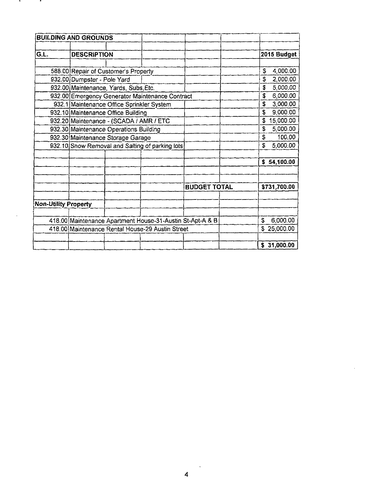|                             | <b>BUILDING AND GROUNDS</b>               |                                                           |                     |                         |              |
|-----------------------------|-------------------------------------------|-----------------------------------------------------------|---------------------|-------------------------|--------------|
|                             |                                           |                                                           |                     |                         |              |
| G.L.                        | <b>DESCRIPTION</b>                        |                                                           |                     |                         | 2015 Budget  |
|                             |                                           |                                                           |                     |                         |              |
|                             | 588.00 Repair of Customer's Property      |                                                           |                     | \$                      | 4,000.00     |
|                             | 932.00 Dumpster - Pole Yard               |                                                           |                     | \$                      | 2,000.00     |
|                             | 932.00 Maintenance, Yards, Subs, Etc.     |                                                           |                     | \$                      | 5,000.00     |
|                             |                                           | 932.00 Emergency Generator Maintenance Contract           |                     | \$                      | 6,000.00     |
|                             | 932.1 Maintenance Office Sprinkler System |                                                           |                     | S                       | 3,000.00     |
|                             | 932.10 Maintenance Office Building        |                                                           |                     | Ś.                      | 9,000.00     |
|                             | 932.20 Maintenance - (SCADA / AMR / ETC   |                                                           |                     |                         | 15,000.00    |
|                             | 932.30 Maintenance Operations Building    |                                                           |                     | \$                      | 5,000.00     |
|                             | 932.30 Maintenance Storage Garage         |                                                           |                     | $\overline{\mathbf{s}}$ | 100.00       |
|                             |                                           | 932.10 Snow Removal and Salting of parking lots           |                     | S                       | 5,000.00     |
|                             |                                           |                                                           |                     |                         |              |
|                             |                                           |                                                           |                     |                         | \$54,100.00  |
|                             |                                           |                                                           |                     |                         |              |
|                             |                                           |                                                           |                     |                         |              |
|                             |                                           |                                                           | <b>BUDGET TOTAL</b> |                         | \$731,700.00 |
|                             |                                           |                                                           |                     |                         |              |
| <b>Non-Utility Property</b> |                                           |                                                           |                     |                         |              |
|                             |                                           |                                                           |                     |                         |              |
|                             |                                           | 418.00 Maintenance Apartment House-31-Austin St-Apt-A & B |                     | S                       | 6,000.00     |
|                             |                                           | 418.00 Maintenance Rental House-29 Austin Street          |                     |                         | \$25,000.00  |
|                             |                                           |                                                           |                     |                         |              |
|                             |                                           |                                                           |                     |                         | \$31,000.00  |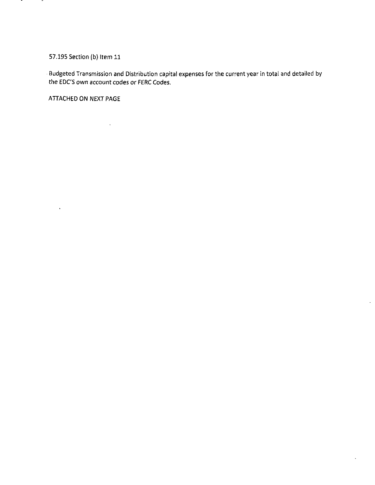## 57.195 Section (b) Item 11

 $\sim$ 

.,

Budgeted Transmission and Distribution capital expenses for the current year in total and detailed by the EDC'S own account codes or FERC Codes.

 $\ddot{\phantom{a}}$ 

 $\overline{\phantom{a}}$ 

ATTACHED ON NEXT PAGE

 $\ddot{\phantom{a}}$ 

 $\sim 10^{11}$  km  $^{-1}$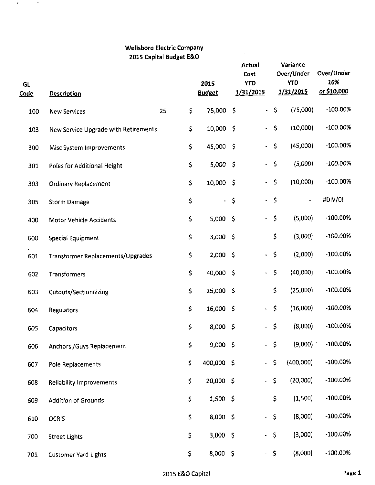## **Wellsboro Electric Company 2015 Capital Budget E&O**

 $\sim$ 

 $\bar{z}$ 

 $\sigma_{\rm{max}}=0.01$ 

| <b>GL</b><br><b>Code</b> | <b>Description</b>                   |    |              | 2015<br><b>Budget</b> |             | Actual<br>Cost<br><b>YTO</b><br>1/31/2015 |                     | Variance<br>Over/Under<br><b>YTD</b><br>1/31/2015 | Over/Under<br>10%<br>or \$10,000 |
|--------------------------|--------------------------------------|----|--------------|-----------------------|-------------|-------------------------------------------|---------------------|---------------------------------------------------|----------------------------------|
| 100                      | <b>New Services</b>                  | 25 | \$           | 75,000                | $\varsigma$ | $\overline{\phantom{a}}$                  | $\zeta$             | (75,000)                                          | -100.00%                         |
| 103                      | New Service Upgrade with Retirements |    | \$           | 10,000 \$             |             | $\blacksquare$                            | \$                  | (10,000)                                          | $-100.00\%$                      |
| 300                      | Misc System Improvements             |    | \$           | 45,000                | - \$        | $\bullet$                                 | \$                  | (45,000)                                          | $-100.00\%$                      |
| 301                      | Poles for Additional Height          |    | \$           | 5,000 \$              |             | $\blacksquare$                            | $\varsigma$         | (5,000)                                           | $-100.00\%$                      |
| 303                      | <b>Ordinary Replacement</b>          |    | \$           | 10,000                | -\$         | $\ddot{\phantom{0}}$                      | $\varsigma$         | (10,000)                                          | $-100.00\%$                      |
| 305                      | <b>Storm Damage</b>                  |    | \$           | ۰                     | \$          | $\bullet$                                 | $\varsigma$         |                                                   | #DIV/0!                          |
| 400                      | <b>Motor Vehicle Accidents</b>       |    | \$           | $5,000$ \$            |             | $\blacksquare$                            | $\mathsf{S}$        | (5,000)                                           | $-100.00\%$                      |
| 600                      | Special Equipment                    |    | \$           | 3,000 \$              |             |                                           | $\mathsf{S}$        | (3,000)                                           | $-100.00%$                       |
| 601                      | Transformer Replacements/Upgrades    |    | \$           | 2,000 \$              |             | $\ddot{\phantom{0}}$                      | $\mathsf{S}$        | (2,000)                                           | $-100.00\%$                      |
| 602                      | Transformers                         |    | \$           | 40,000 \$             |             | $\ddot{\phantom{0}}$                      | \$                  | (40,000)                                          | $-100.00\%$                      |
| 603                      | <b>Cutouts/Sectionilizing</b>        |    | \$           | 25,000 \$             |             | $\ddot{\phantom{1}}$                      | $\mathsf{S}$        | (25,000)                                          | $-100.00\%$                      |
| 604                      | Regulators                           |    | \$           | 16,000 \$             |             | $\blacksquare$                            | $\ddot{\bm{\zeta}}$ | (16,000)                                          | $-100.00\%$                      |
| 605                      | Capacitors                           |    | \$           | $8,000$ \$            |             | $\overline{\phantom{0}}$                  | $\mathsf{S}$        | (8,000)                                           | $-100.00%$                       |
| 606                      | Anchors / Guys Replacement           |    | \$           | 9,000 \$              |             | $\blacksquare$                            | - \$                | (9,000)                                           | $-100.00\%$                      |
| 607                      | Pole Replacements                    |    | \$           | 400,000 \$            |             | ÷                                         | $\hat{\mathsf{S}}$  | (400,000)                                         | $-100.00%$                       |
| 608                      | <b>Reliability Improvements</b>      |    | \$           | 20,000 \$             |             | ÷                                         | $\varsigma$         | (20,000)                                          | $-100.00%$                       |
| 609                      | <b>Addition of Grounds</b>           |    | \$           | $1,500$ \$            |             | $\ddot{\phantom{0}}$                      | $\mathsf S$         | (1,500)                                           | $-100.00%$                       |
| 610                      | OCR'S                                |    | \$           | 8,000 \$              |             | $\blacksquare$                            | $\mathsf{S}$        | (8,000)                                           | $-100.00%$                       |
| 700                      | <b>Street Lights</b>                 |    | \$           | $3,000$ \$            |             | $\blacksquare$                            | $\varsigma$         | (3,000)                                           | $-100.00%$                       |
| 701                      | <b>Customer Yard Lights</b>          |    | $\mathsf{S}$ | 8,000 \$              |             |                                           | $-5$                | (8,000)                                           | $-100.00\%$                      |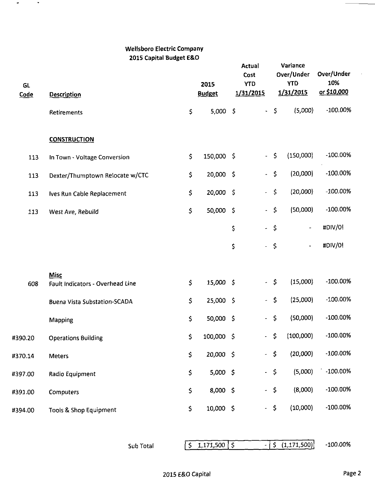# **Wellsboro Electric Company 2015 Capital Budget E&O**

 $\bullet$ 

 $\bullet$ 

| GL<br>Code | <b>Description</b>                       |                     | 2015<br><b>Budget</b>                 | Actual<br>Cost<br><b>YTD</b><br>1/31/2015 | Variance<br>Over/Under<br><b>YTD</b><br>1/31/2015 | Over/Under<br>10%<br>or \$10,000 |
|------------|------------------------------------------|---------------------|---------------------------------------|-------------------------------------------|---------------------------------------------------|----------------------------------|
|            | Retirements                              | \$                  | $5,000$ \$                            | $\blacksquare$                            | (5,000)<br>$\sharp$                               | $-100.00%$                       |
|            | <b>CONSTRUCTION</b>                      |                     |                                       |                                           |                                                   |                                  |
| 113        | In Town - Voltage Conversion             | \$                  | 150,000 \$                            | $-5$                                      | (150,000)                                         | $-100.00\%$                      |
| 113        | Dexter/Thumptown Relocate w/CTC          | \$                  | 20,000 \$                             | $\blacksquare$                            | (20,000)<br>$\zeta$                               | -100.00%                         |
| 113        | Ives Run Cable Replacement               | \$                  | 20,000 \$                             | ÷,                                        | \$<br>(20,000)                                    | $-100.00\%$                      |
| 113        | West Ave, Rebuild                        | $\ddot{\mathsf{S}}$ | 50,000 \$                             | $\blacksquare$                            | (50,000)<br>$\ddot{\mathsf{S}}$                   | $-100.00\%$                      |
|            |                                          |                     |                                       | \$<br>$-5$                                | $\overline{\phantom{a}}$                          | #DIV/0!                          |
|            |                                          |                     |                                       | \$<br>÷.                                  | $\ddot{\mathsf{s}}$<br>$\blacksquare$             | #DIV/0!                          |
|            |                                          |                     |                                       |                                           |                                                   |                                  |
| 608        | Misc<br>Fault Indicators - Overhead Line | \$                  | 15,000 \$                             | - \$                                      | (15,000)                                          | $-100.00\%$                      |
|            | <b>Buena Vista Substation-SCADA</b>      | \$                  | 25,000 \$                             | $\blacksquare$                            | (25,000)<br>$\zeta$                               | $-100.00\%$                      |
|            | Mapping                                  | \$                  | 50,000 \$                             | $\frac{1}{2}$                             | $\varsigma$<br>(50,000)                           | $-100.00%$                       |
| #390.20    | <b>Operations Building</b>               | \$                  | 100,000 \$                            | $\blacksquare$                            | $\ddot{\mathsf{S}}$<br>(100,000)                  | $-100.00%$                       |
| #370.14    | <b>Meters</b>                            | $\mathsf{S}$        | 20,000 \$                             | $\blacksquare$                            | (20,000)<br>$\mathsf{S}$                          | $-100.00\%$                      |
| #397.00    | Radio Equipment                          | \$                  | 5,000 \$                              | $\blacksquare$                            | (5,000)<br>$\mathsf{S}$                           | -100.00%                         |
| #391.00    | Computers                                | \$                  | 8,000 \$                              | $\ddot{\phantom{0}}$                      | (8,000)<br>$\varsigma$                            | -100.00%                         |
| #394.00    | Tools & Shop Equipment                   | $\mathsf{S}$        | 10,000 \$                             | $-5$                                      | (10,000)                                          | $-100.00\%$                      |
|            |                                          |                     |                                       |                                           |                                                   |                                  |
|            | Sub Total                                |                     | $\frac{1}{5}$ 1,171,500 $\frac{1}{5}$ | ۰                                         | S(1,171,500)                                      | $-100.00\%$                      |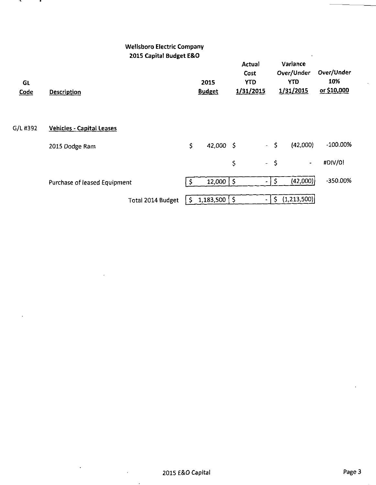|                   | <b>Wellsboro Electric Company</b>             |         |                                                               |                                           |             |                                                   |                                  |
|-------------------|-----------------------------------------------|---------|---------------------------------------------------------------|-------------------------------------------|-------------|---------------------------------------------------|----------------------------------|
| GL<br><b>Code</b> | 2015 Capital Budget E&O<br><b>Description</b> |         | 2015<br><b>Budget</b>                                         | Actual<br>Cost<br><b>YTD</b><br>1/31/2015 |             | Variance<br>Over/Under<br><b>YTD</b><br>1/31/2015 | Over/Under<br>10%<br>or \$10,000 |
| G/L #392          | <b>Vehicles - Capital Leases</b>              |         |                                                               |                                           |             |                                                   |                                  |
|                   | 2015 Dodge Ram                                | \$      | 42,000 \$                                                     |                                           | $-5$        | (42,000)                                          | $-100.00\%$                      |
|                   |                                               |         |                                                               | \$                                        | $-5$        | $\blacksquare$                                    | #DIV/0!                          |
|                   | Purchase of leased Equipment                  | - 5     | $12,000$   \$                                                 |                                           | $-$ 5       | (42,000)                                          | -350.00%                         |
|                   | Total 2014 Budget                             | $\zeta$ | $1,183,500$ $\left\{ \begin{array}{c} 5 \end{array} \right\}$ |                                           | $\varsigma$ | (1,213,500)                                       |                                  |

 $\mathbf{A}$ 

.

 $\epsilon$